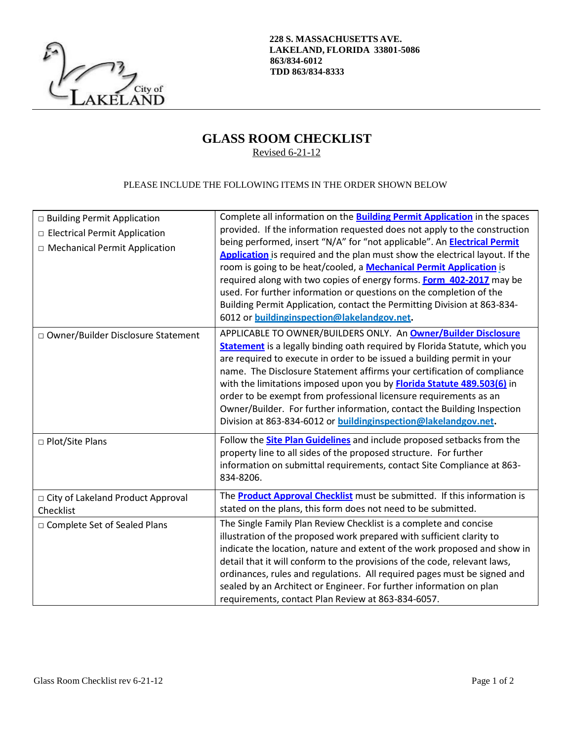

**228 S. MASSACHUSETTS AVE. LAKELAND, FLORIDA 33801-5086 863/834-6012 TDD 863/834-8333**

## **GLASS ROOM CHECKLIST** Revised 6-21-12

## PLEASE INCLUDE THE FOLLOWING ITEMS IN THE ORDER SHOWN BELOW

| □ Building Permit Application<br>□ Electrical Permit Application<br>□ Mechanical Permit Application | Complete all information on the <b>Building Permit Application</b> in the spaces<br>provided. If the information requested does not apply to the construction<br>being performed, insert "N/A" for "not applicable". An <b>Electrical Permit</b><br>Application is required and the plan must show the electrical layout. If the<br>room is going to be heat/cooled, a <b>Mechanical Permit Application</b> is<br>required along with two copies of energy forms. <b>Form 402-2017</b> may be<br>used. For further information or questions on the completion of the<br>Building Permit Application, contact the Permitting Division at 863-834-<br>6012 or buildinginspection@lakelandgov.net. |
|-----------------------------------------------------------------------------------------------------|-------------------------------------------------------------------------------------------------------------------------------------------------------------------------------------------------------------------------------------------------------------------------------------------------------------------------------------------------------------------------------------------------------------------------------------------------------------------------------------------------------------------------------------------------------------------------------------------------------------------------------------------------------------------------------------------------|
| □ Owner/Builder Disclosure Statement                                                                | APPLICABLE TO OWNER/BUILDERS ONLY. An Owner/Builder Disclosure<br>Statement is a legally binding oath required by Florida Statute, which you<br>are required to execute in order to be issued a building permit in your<br>name. The Disclosure Statement affirms your certification of compliance<br>with the limitations imposed upon you by <b>Florida Statute 489.503(6)</b> in<br>order to be exempt from professional licensure requirements as an<br>Owner/Builder. For further information, contact the Building Inspection<br>Division at 863-834-6012 or <b>buildinginspection@lakelandgov.net</b> .                                                                                  |
| □ Plot/Site Plans                                                                                   | Follow the <b>Site Plan Guidelines</b> and include proposed setbacks from the<br>property line to all sides of the proposed structure. For further<br>information on submittal requirements, contact Site Compliance at 863-<br>834-8206.                                                                                                                                                                                                                                                                                                                                                                                                                                                       |
| □ City of Lakeland Product Approval<br>Checklist                                                    | The <b>Product Approval Checklist</b> must be submitted. If this information is<br>stated on the plans, this form does not need to be submitted.                                                                                                                                                                                                                                                                                                                                                                                                                                                                                                                                                |
| □ Complete Set of Sealed Plans                                                                      | The Single Family Plan Review Checklist is a complete and concise<br>illustration of the proposed work prepared with sufficient clarity to<br>indicate the location, nature and extent of the work proposed and show in<br>detail that it will conform to the provisions of the code, relevant laws,<br>ordinances, rules and regulations. All required pages must be signed and<br>sealed by an Architect or Engineer. For further information on plan<br>requirements, contact Plan Review at 863-834-6057.                                                                                                                                                                                   |